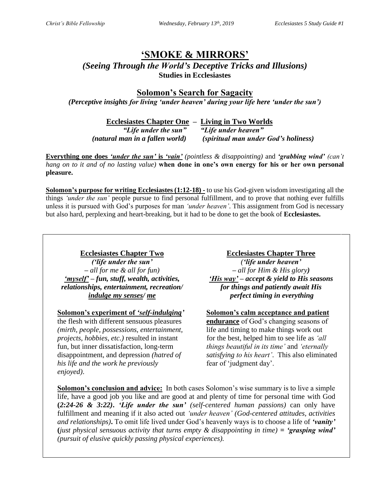# **'SMOKE & MIRRORS'**

*(Seeing Through the World's Deceptive Tricks and Illusions)* **Studies in Ecclesiastes**

**Solomon's Search for Sagacity**

*(Perceptive insights for living 'under heaven' during your life here 'under the sun')*

**Ecclesiastes Chapter One – Living in Two Worlds**

*"Life under the sun" "Life under heaven" (natural man in a fallen world) (spiritual man under God's holiness)*

**Everything one does** *'under the sun'* **is** *'vain' (pointless & disappointing)* and *'grabbing wind' (can't hang on to it and of no lasting value)* **when done in one's own energy for his or her own personal pleasure.**

**Solomon's purpose for writing Ecclesiastes (1:12-18) -** to use his God-given wisdom investigating all the things *'under the sun'* people pursue to find personal fulfillment, and to prove that nothing ever fulfills unless it is pursued with God's purposes for man *'under heaven'*. This assignment from God is necessary but also hard, perplexing and heart-breaking, but it had to be done to get the book of **Ecclesiastes.**

*('life under the sun' – all for me & all for fun) 'myself' – fun, stuff, wealth, activities, relationships, entertainment, recreation/ indulge my senses/ me*

**Solomon's experiment of** *'self-indulging'*

the flesh with different sensuous pleasures *(mirth, people, possessions, entertainment, projects, hobbies, etc.)* resulted in instant fun, but inner dissatisfaction, long-term disappointment, and depression *(hatred of his life and the work he previously enjoyed)*.

**Ecclesiastes Chapter Two Ecclesiastes Chapter Three** *('life under heaven' – all for Him & His glory) 'His way' – accept & yield to His seasons for things and patiently await His perfect timing in everything*

# **Solomon's calm acceptance and patient**

**endurance** of God's changing seasons of life and timing to make things work out for the best, helped him to see life as *'all things beautiful in its time'* and *'eternally satisfying to his heart'*. This also eliminated fear of 'judgment day'.

**Solomon's conclusion and advice:** In both cases Solomon's wise summary is to live a simple life, have a good job you like and are good at and plenty of time for personal time with God **(***2:24-26 & 3:22)***.** *'Life under the sun' (self-centered human passions)* can only have fulfillment and meaning if it also acted out *'under heaven' (God-centered attitudes, activities and relationships)***.** To omit life lived under God's heavenly ways is to choose a life of *'vanity'*  **(***just physical sensuous activity that turns empty & disappointing in time)* **=** *'grasping wind' (pursuit of elusive quickly passing physical experiences).*